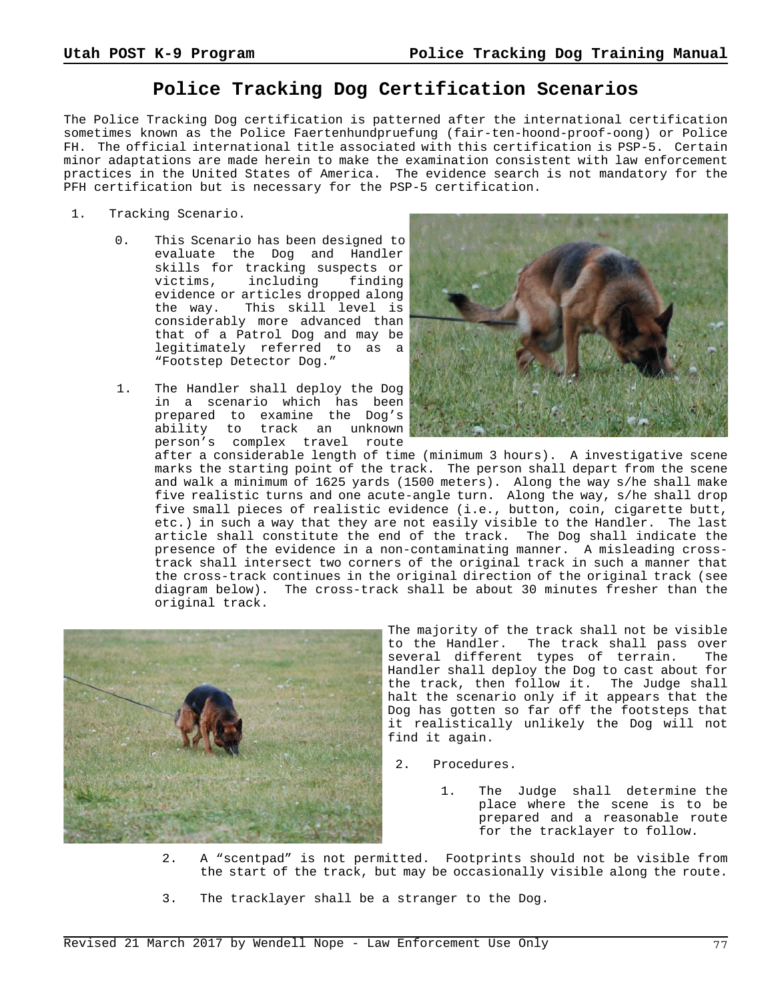## **Police Tracking Dog Certification Scenarios**

The Police Tracking Dog certification is patterned after the international certification sometimes known as the Police Faertenhundpruefung (fair-ten-hoond-proof-oong) or Police FH. The official international title associated with this certification is PSP-5. Certain minor adaptations are made herein to make the examination consistent with law enforcement practices in the United States of America. The evidence search is not mandatory for the PFH certification but is necessary for the PSP-5 certification.

- 1. Tracking Scenario.
	- 0. This Scenario has been designed to evaluate the Dog and Handler skills for tracking suspects or<br>victims, including finding victims, including evidence or articles dropped along the way. This skill level is considerably more advanced than that of a Patrol Dog and may be legitimately referred to as a "Footstep Detector Dog."
	- 1. The Handler shall deploy the Dog in a scenario which has been prepared to examine the Dog's ability to track an unknown person's complex travel route



after a considerable length of time (minimum 3 hours). A investigative scene marks the starting point of the track. The person shall depart from the scene and walk a minimum of 1625 yards (1500 meters). Along the way s/he shall make five realistic turns and one acute-angle turn. Along the way, s/he shall drop five small pieces of realistic evidence (i.e., button, coin, cigarette butt, etc.) in such a way that they are not easily visible to the Handler. The last article shall constitute the end of the track. The Dog shall indicate the presence of the evidence in a non-contaminating manner. A misleading crosstrack shall intersect two corners of the original track in such a manner that the cross-track continues in the original direction of the original track (see diagram below). The cross-track shall be about 30 minutes fresher than the original track.



The majority of the track shall not be visible to the Handler. The track shall pass over several different types of terrain. The Handler shall deploy the Dog to cast about for the track, then follow it. The Judge shall halt the scenario only if it appears that the Dog has gotten so far off the footsteps that it realistically unlikely the Dog will not find it again.

- 2. Procedures.
	- 1. The Judge shall determine the place where the scene is to be prepared and a reasonable route for the tracklayer to follow.
- 2. A "scentpad" is not permitted. Footprints should not be visible from the start of the track, but may be occasionally visible along the route.
- 3. The tracklayer shall be a stranger to the Dog.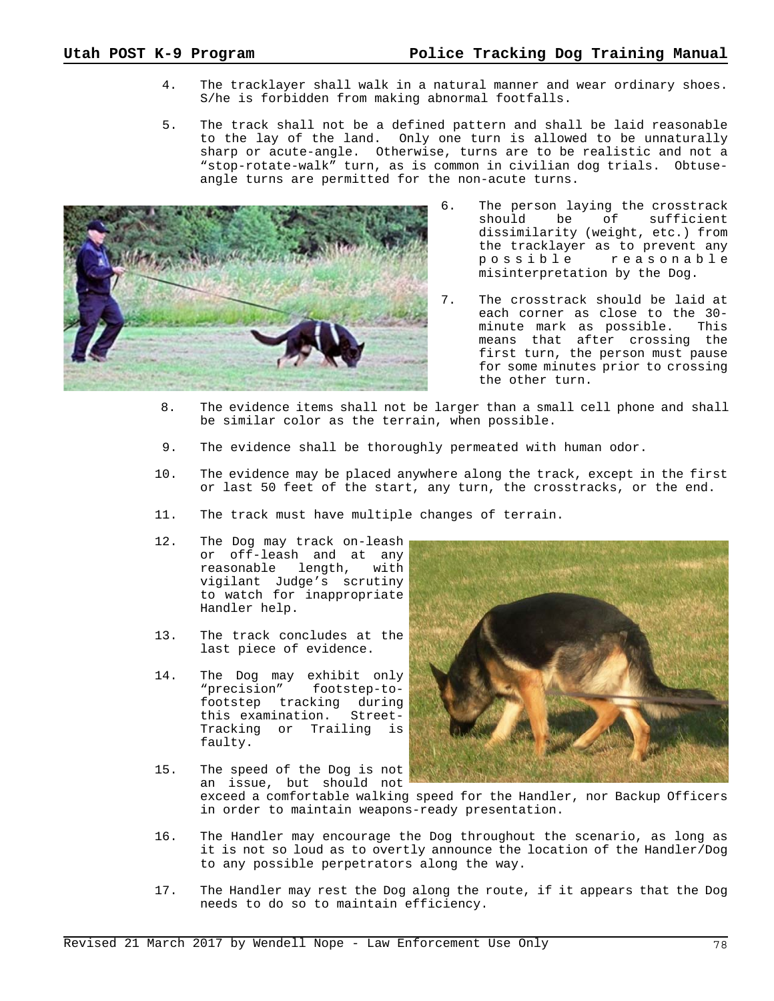- 4. The tracklayer shall walk in a natural manner and wear ordinary shoes. S/he is forbidden from making abnormal footfalls.
- 5. The track shall not be a defined pattern and shall be laid reasonable to the lay of the land. Only one turn is allowed to be unnaturally sharp or acute-angle. Otherwise, turns are to be realistic and not a "stop-rotate-walk" turn, as is common in civilian dog trials. Obtuseangle turns are permitted for the non-acute turns.



- 6. The person laying the crosstrack should be of sufficient dissimilarity (weight, etc.) from the tracklayer as to prevent any possible reasonable misinterpretation by the Dog.
- 7. The crosstrack should be laid at each corner as close to the 30 minute mark as possible. This means that after crossing the first turn, the person must pause for some minutes prior to crossing the other turn.
- 8. The evidence items shall not be larger than a small cell phone and shall be similar color as the terrain, when possible.
- 9. The evidence shall be thoroughly permeated with human odor.
- 10. The evidence may be placed anywhere along the track, except in the first or last 50 feet of the start, any turn, the crosstracks, or the end.
- 11. The track must have multiple changes of terrain.
- 12. The Dog may track on-leash or off-leash and at any<br>reasonable length, with reasonable length, vigilant Judge's scrutiny to watch for inappropriate Handler help.
- 13. The track concludes at the last piece of evidence.
- 14. The Dog may exhibit only<br>"precision" footstep-tofootstep-tofootstep tracking during this examination. Street-Tracking or Trailing is faulty.
- 
- 15. The speed of the Dog is not an issue, but should not
	- exceed a comfortable walking speed for the Handler, nor Backup Officers in order to maintain weapons-ready presentation.
- 16. The Handler may encourage the Dog throughout the scenario, as long as it is not so loud as to overtly announce the location of the Handler/Dog to any possible perpetrators along the way.
- 17. The Handler may rest the Dog along the route, if it appears that the Dog needs to do so to maintain efficiency.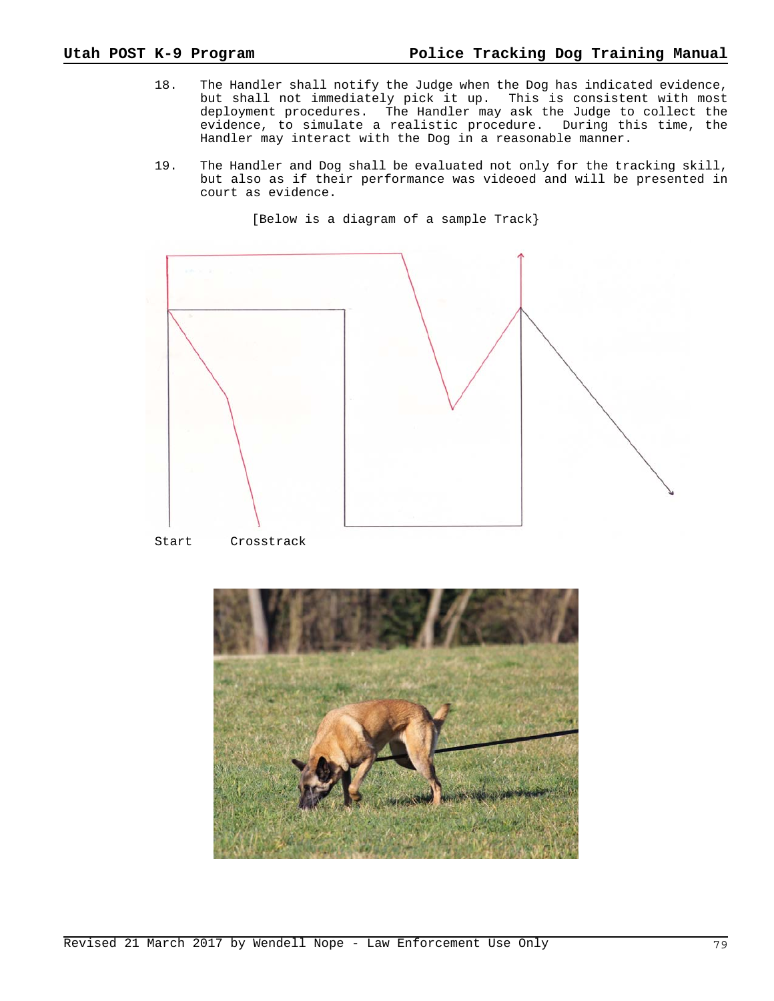- 18. The Handler shall notify the Judge when the Dog has indicated evidence, but shall not immediately pick it up. This is consistent with most deployment procedures. The Handler may ask the Judge to collect the evidence, to simulate a realistic procedure. During this time, the Handler may interact with the Dog in a reasonable manner.
- 19. The Handler and Dog shall be evaluated not only for the tracking skill, but also as if their performance was videoed and will be presented in court as evidence.

[Below is a diagram of a sample Track}



Start Crosstrack

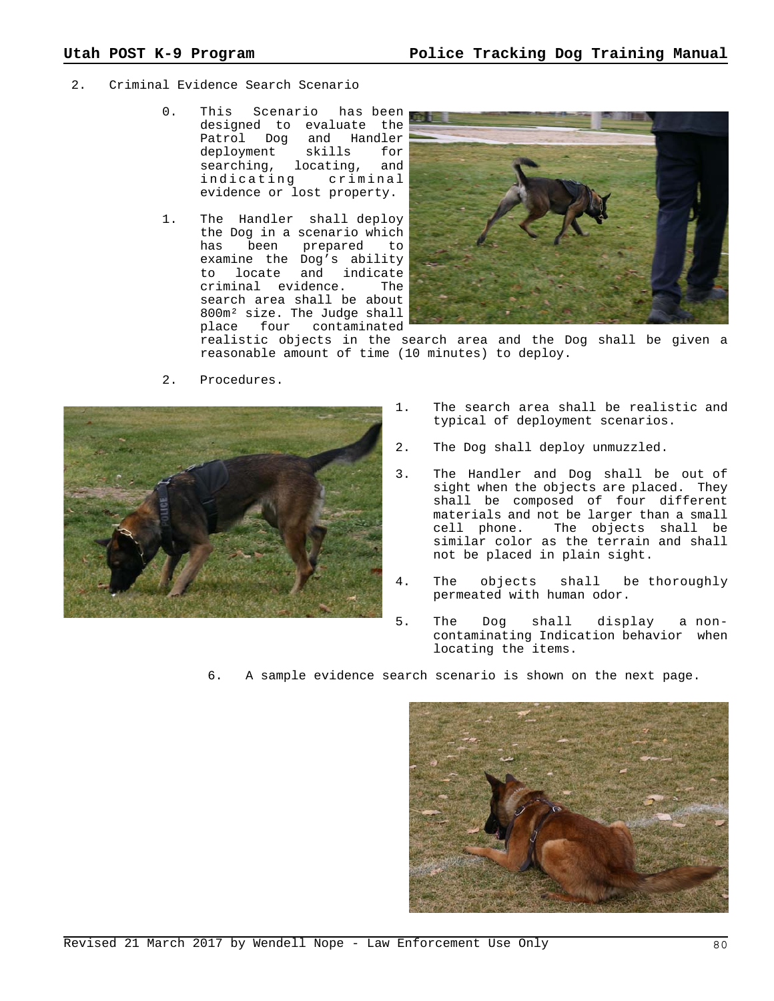- 2. Criminal Evidence Search Scenario
	- 0. This Scenario has been designed to evaluate the Patrol Dog and Handler<br>deployment skills for skills for searching, locating, and indicating criminal evidence or lost property.
	- 1. The Handler shall deploy the Dog in a scenario which has been prepared to examine the Dog's ability to locate and indicate criminal evidence. The search area shall be about 800m² size. The Judge shall place four contaminated



realistic objects in the search area and the Dog shall be given a reasonable amount of time (10 minutes) to deploy.



2. Procedures.

- 1. The search area shall be realistic and typical of deployment scenarios.
- 2. The Dog shall deploy unmuzzled.
- 3. The Handler and Dog shall be out of sight when the objects are placed. They shall be composed of four different materials and not be larger than a small cell phone. The objects shall be similar color as the terrain and shall not be placed in plain sight.
- 4. The objects shall be thoroughly permeated with human odor.
- 5. The Dog shall display a noncontaminating Indication behavior when locating the items.
- 6. A sample evidence search scenario is shown on the next page.